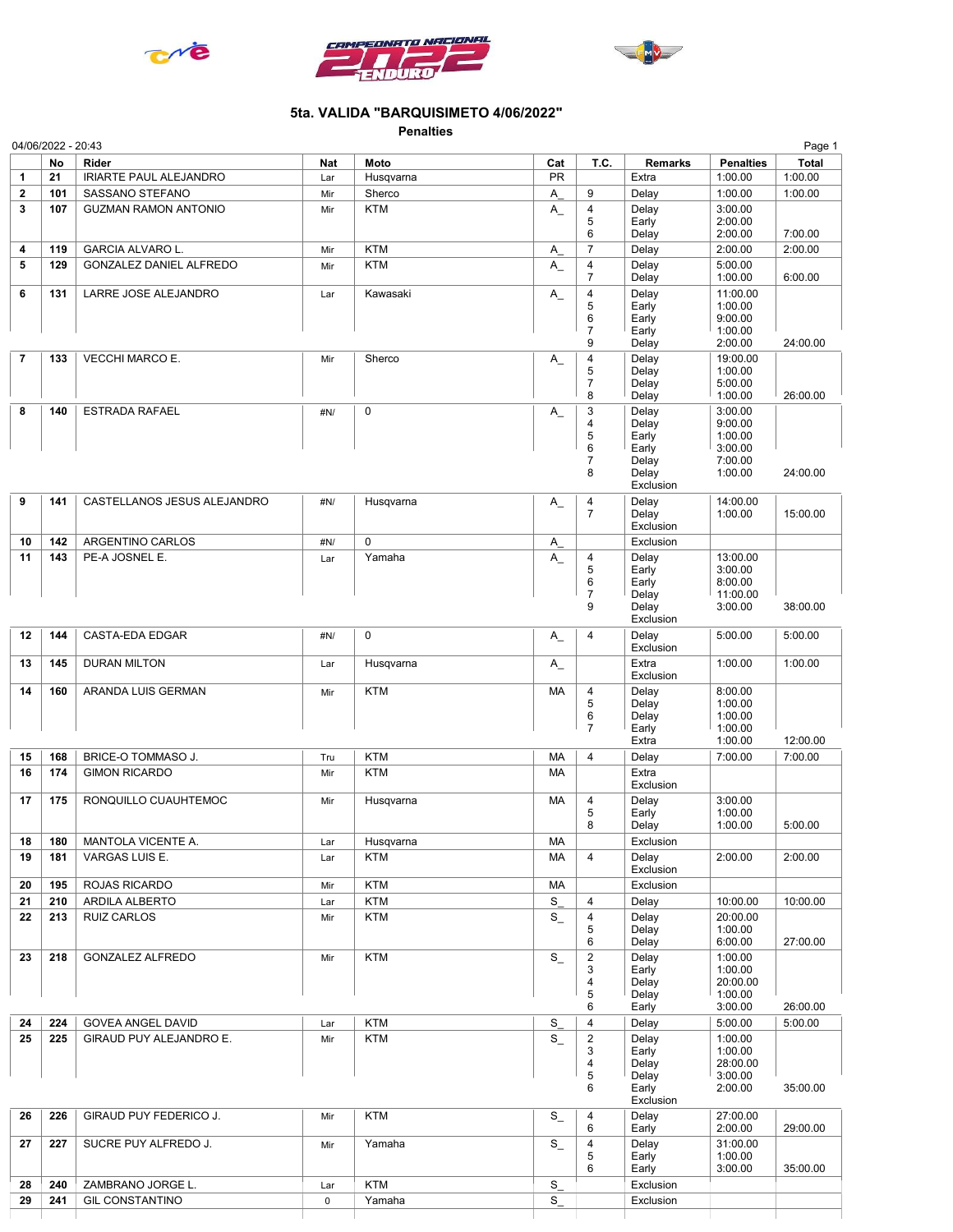





## 5ta. VALIDA "BARQUISIMETO 4/06/2022"

Penalties

|              |     | 04/06/2022 - 20:43             |            |             |           |                              |                    |                     | Page 1       |
|--------------|-----|--------------------------------|------------|-------------|-----------|------------------------------|--------------------|---------------------|--------------|
|              | No  | Rider                          | <b>Nat</b> | Moto        | Cat       | T.C.                         | <b>Remarks</b>     | <b>Penalties</b>    | <b>Total</b> |
| $\mathbf{1}$ | 21  | <b>IRIARTE PAUL ALEJANDRO</b>  | Lar        | Husqvarna   | <b>PR</b> |                              | Extra              | 1:00.00             | 1:00.00      |
| $\mathbf{2}$ | 101 | SASSANO STEFANO                | Mir        | Sherco      | Α         | 9                            | Delay              | 1:00.00             | 1:00.00      |
| 3            | 107 | <b>GUZMAN RAMON ANTONIO</b>    | Mir        | <b>KTM</b>  | $A_{-}$   | $\overline{\mathbf{4}}$      | Delay              | 3:00.00             |              |
|              |     |                                |            |             |           | 5                            | Early              | 2:00.00             |              |
|              |     |                                |            |             |           | 6                            | Delay              | 2:00.00             | 7:00.00      |
| 4            | 119 | GARCIA ALVARO L.               | Mir        | <b>KTM</b>  | A         | $\overline{7}$               | Delay              | 2:00.00             | 2:00.00      |
| 5            | 129 | <b>GONZALEZ DANIEL ALFREDO</b> | Mir        | <b>KTM</b>  | $A_{\_}$  | 4                            | Delay              | 5:00.00             |              |
|              |     |                                |            |             |           | $\overline{7}$               | Delay              | 1:00.00             | 6:00.00      |
| 6            | 131 | LARRE JOSE ALEJANDRO           | Lar        | Kawasaki    | $A_{-}$   | $\overline{\mathbf{4}}$      | Delay              | 11:00.00            |              |
|              |     |                                |            |             |           | 5                            | Early              | 1:00.00             |              |
|              |     |                                |            |             |           | 6<br>$\overline{7}$          | Early<br>Early     | 9:00.00<br>1:00.00  |              |
|              |     |                                |            |             |           | 9                            | Delay              | 2:00.00             | 24:00.00     |
| 7            | 133 | VECCHI MARCO E.                | Mir        | Sherco      | $A_{\_}$  | 4                            | Delay              | 19:00.00            |              |
|              |     |                                |            |             |           | 5                            | Delay              | 1:00.00             |              |
|              |     |                                |            |             |           | 7                            | Delay              | 5:00.00             |              |
|              |     |                                |            |             |           | 8                            | Delay              | 1:00.00             | 26:00.00     |
| 8            | 140 | <b>ESTRADA RAFAEL</b>          | #N/        | $\pmb{0}$   | A         | 3                            | Delay              | 3:00.00             |              |
|              |     |                                |            |             |           | 4                            | Delay              | 9:00.00             |              |
|              |     |                                |            |             |           | 5                            | Early              | 1:00.00             |              |
|              |     |                                |            |             |           | 6<br>7                       | Early<br>Delay     | 3:00.00<br>7:00.00  |              |
|              |     |                                |            |             |           | 8                            | Delay              | 1:00.00             | 24:00.00     |
|              |     |                                |            |             |           |                              | Exclusion          |                     |              |
| 9            | 141 | CASTELLANOS JESUS ALEJANDRO    | #N/        | Husqvarna   | $A_{-}$   | 4                            | Delay              | 14:00.00            |              |
|              |     |                                |            |             |           | $\overline{7}$               | Delay              | 1:00.00             | 15:00.00     |
|              |     |                                |            |             |           |                              | Exclusion          |                     |              |
| 10           | 142 | ARGENTINO CARLOS               | #N/        | $\mathbf 0$ | A         |                              | Exclusion          |                     |              |
| 11           | 143 | PE-A JOSNEL E.                 | Lar        | Yamaha      | $A_{-}$   | 4                            | Delay              | 13:00.00            |              |
|              |     |                                |            |             |           | 5                            | Early              | 3:00.00             |              |
|              |     |                                |            |             |           | 6<br>$\overline{7}$          | Early              | 8:00.00             |              |
|              |     |                                |            |             |           | 9                            | Delay<br>Delay     | 11:00.00<br>3:00.00 | 38:00.00     |
|              |     |                                |            |             |           |                              | Exclusion          |                     |              |
| 12           | 144 | CASTA-EDA EDGAR                | #N/        | $\mathbf 0$ | $A_{-}$   | $\overline{4}$               | Delay              | 5:00.00             | 5:00.00      |
|              |     |                                |            |             |           |                              | Exclusion          |                     |              |
| 13           | 145 | <b>DURAN MILTON</b>            | Lar        | Husqvarna   | $A_{-}$   |                              | Extra              | 1:00.00             | 1:00.00      |
|              |     |                                |            |             |           |                              | Exclusion          |                     |              |
| 14           | 160 | ARANDA LUIS GERMAN             | Mir        | <b>KTM</b>  | MA        | 4                            | Delay              | 8:00.00             |              |
|              |     |                                |            |             |           | 5                            | Delay              | 1:00.00             |              |
|              |     |                                |            |             |           | 6                            | Delay              | 1:00.00             |              |
|              |     |                                |            |             |           | $\overline{7}$               | Early              | 1:00.00             |              |
|              |     |                                |            |             |           |                              | Extra              | 1:00.00             | 12:00.00     |
| 15           | 168 | BRICE-O TOMMASO J.             | Tru        | <b>KTM</b>  | MA        | $\overline{4}$               | Delay              | 7:00.00             | 7:00.00      |
| 16           | 174 | <b>GIMON RICARDO</b>           | Mir        | <b>KTM</b>  | MA        |                              | Extra              |                     |              |
|              |     |                                |            |             |           |                              | Exclusion          |                     |              |
| 17           | 175 | RONQUILLO CUAUHTEMOC           | Mir        | Husqvarna   | MA        | 4                            | Delay              | 3:00.00             |              |
|              |     |                                |            |             |           | 5<br>8                       | Early<br>Delay     | 1:00.00<br>1:00.00  | 5:00.00      |
|              |     | MANTOLA VICENTE A.             |            |             |           |                              | Exclusion          |                     |              |
| 18           | 180 |                                | Lar        | Husqvarna   | МA        | $\overline{4}$               |                    |                     |              |
| 19           | 181 | VARGAS LUIS E.                 | Lar        | <b>KTM</b>  | MA        |                              | Delay<br>Exclusion | 2:00.00             | 2:00.00      |
| 20           | 195 | ROJAS RICARDO                  | Mir        | <b>KTM</b>  | MA        |                              | Exclusion          |                     |              |
|              |     |                                |            |             |           | $\overline{4}$               |                    |                     |              |
| 21           | 210 | ARDILA ALBERTO                 | Lar        | <b>KTM</b>  | S         |                              | Delay              | 10:00.00            | 10:00.00     |
| 22           | 213 | <b>RUIZ CARLOS</b>             | Mir        | <b>KTM</b>  | $S_{-}$   | $\overline{\mathbf{4}}$<br>5 | Delay              | 20:00.00<br>1:00.00 |              |
|              |     |                                |            |             |           | 6                            | Delay<br>Delay     | 6:00.00             | 27:00.00     |
| 23           | 218 | <b>GONZALEZ ALFREDO</b>        | Mir        | <b>KTM</b>  | $S_{-}$   | $\overline{c}$               | Delay              | 1:00.00             |              |
|              |     |                                |            |             |           | 3                            | Early              | 1:00.00             |              |
|              |     |                                |            |             |           | 4                            | Delay              | 20:00.00            |              |
|              |     |                                |            |             |           | 5                            | Delay              | 1:00.00             |              |
|              |     |                                |            |             |           | 6                            | Early              | 3:00.00             | 26:00.00     |
| 24           | 224 | GOVEA ANGEL DAVID              | Lar        | <b>KTM</b>  | S         | $\overline{4}$               | Delay              | 5:00.00             | 5:00.00      |
| 25           | 225 | GIRAUD PUY ALEJANDRO E.        | Mir        | <b>KTM</b>  | $S_{-}$   | $\overline{c}$               | Delay              | 1:00.00             |              |
|              |     |                                |            |             |           | 3                            | Early              | 1:00.00             |              |
|              |     |                                |            |             |           | 4<br>5                       | Delay              | 28:00.00            |              |
|              |     |                                |            |             |           | 6                            | Delay<br>Early     | 3:00.00<br>2:00.00  | 35:00.00     |
|              |     |                                |            |             |           |                              | Exclusion          |                     |              |
| 26           | 226 | GIRAUD PUY FEDERICO J.         | Mir        | <b>KTM</b>  | $S_{-}$   | 4                            | Delay              | 27:00.00            |              |
|              |     |                                |            |             |           | 6                            | Early              | 2:00.00             | 29:00.00     |
| 27           | 227 | SUCRE PUY ALFREDO J.           | Mir        | Yamaha      | $S_{-}$   | 4                            | Delay              | 31:00.00            |              |
|              |     |                                |            |             |           | 5                            | Early              | 1:00.00             |              |
|              |     |                                |            |             |           | 6                            | Early              | 3:00.00             | 35:00.00     |
| 28           | 240 | ZAMBRANO JORGE L.              | Lar        | <b>KTM</b>  | S         |                              | Exclusion          |                     |              |
|              |     |                                |            |             |           |                              | Exclusion          |                     |              |
| 29           | 241 | <b>GIL CONSTANTINO</b>         | 0          | Yamaha      | S         |                              |                    |                     |              |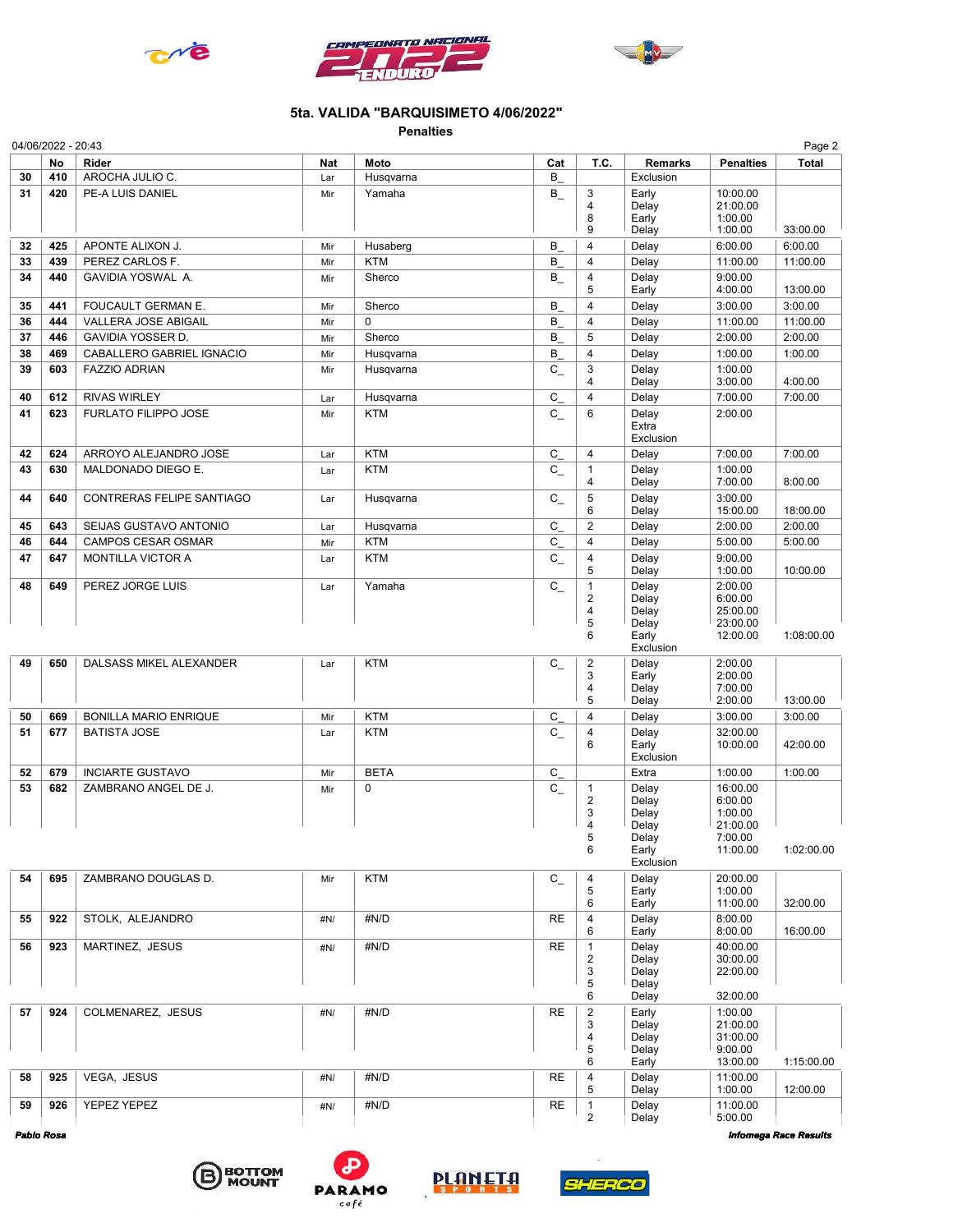





## 5ta. VALIDA "BARQUISIMETO 4/06/2022"

Penalties

|            | 04/06/2022 - 20:43<br>Page 2 |                              |     |             |           |                         |                |                      |                              |  |
|------------|------------------------------|------------------------------|-----|-------------|-----------|-------------------------|----------------|----------------------|------------------------------|--|
|            | No                           | Rider                        | Nat | Moto        | Cat       | T.C.                    | <b>Remarks</b> | <b>Penalties</b>     | <b>Total</b>                 |  |
| 30         | 410                          | AROCHA JULIO C.              | Lar | Husqvarna   | В         |                         | Exclusion      |                      |                              |  |
| 31         | 420                          | PE-A LUIS DANIEL             | Mir | Yamaha      | $B_{-}$   | 3                       | Early          | 10:00.00             |                              |  |
|            |                              |                              |     |             |           | 4<br>8                  | Delay          | 21:00.00             |                              |  |
|            |                              |                              |     |             |           | 9                       | Early<br>Delay | 1:00.00<br>1:00.00   | 33:00.00                     |  |
| 32         | 425                          | APONTE ALIXON J.             | Mir | Husaberg    | В         | $\overline{4}$          | Delay          | 6:00.00              | 6:00.00                      |  |
| 33         |                              |                              |     |             | B         | $\overline{4}$          |                |                      |                              |  |
|            | 439                          | PEREZ CARLOS F.              | Mir | <b>KTM</b>  |           |                         | Delay          | 11:00.00             | 11:00.00                     |  |
| 34         | 440                          | GAVIDIA YOSWAL A.            | Mir | Sherco      | $B_{-}$   | $\overline{4}$<br>5     | Delay<br>Early | 9:00.00<br>4:00.00   | 13:00.00                     |  |
| 35         | 441                          | FOUCAULT GERMAN E.           | Mir | Sherco      | В         | $\overline{4}$          | Delay          | 3:00.00              | 3:00.00                      |  |
| 36         | 444                          | VALLERA JOSE ABIGAIL         | Mir | $\mathbf 0$ | В         | $\overline{4}$          | Delay          | 11:00.00             | 11:00.00                     |  |
| 37         |                              | GAVIDIA YOSSER D.            |     | Sherco      | B         | 5                       | Delay          | 2:00.00              | 2:00.00                      |  |
|            | 446                          |                              | Mir |             |           | $\overline{4}$          |                |                      |                              |  |
| 38         | 469                          | CABALLERO GABRIEL IGNACIO    | Mir | Husqvarna   | В         |                         | Delay          | 1:00.00              | 1:00.00                      |  |
| 39         | 603                          | <b>FAZZIO ADRIAN</b>         | Mir | Husqvarna   | $C_{-}$   | 3<br>4                  | Delay<br>Delay | 1:00.00<br>3:00.00   | 4:00.00                      |  |
| 40         | 612                          | <b>RIVAS WIRLEY</b>          | Lar | Husqvarna   | C         | $\overline{\mathbf{4}}$ | Delay          | 7:00.00              | 7:00.00                      |  |
|            |                              |                              |     | <b>KTM</b>  |           | 6                       |                |                      |                              |  |
| 41         | 623                          | FURLATO FILIPPO JOSE         | Mir |             | $C_{-}$   |                         | Delay<br>Extra | 2:00.00              |                              |  |
|            |                              |                              |     |             |           |                         | Exclusion      |                      |                              |  |
| 42         | 624                          | ARROYO ALEJANDRO JOSE        | Lar | <b>KTM</b>  | C         | 4                       | Delay          | 7:00.00              | 7:00.00                      |  |
| 43         | 630                          | MALDONADO DIEGO E.           | Lar | <b>KTM</b>  | $C_{-}$   | $\mathbf{1}$            | Delay          | 1:00.00              |                              |  |
|            |                              |                              |     |             |           | 4                       | Delay          | 7:00.00              | 8:00.00                      |  |
| 44         | 640                          | CONTRERAS FELIPE SANTIAGO    | Lar | Husqvarna   | $C_{-}$   | 5                       | Delay          | 3:00.00              |                              |  |
|            |                              |                              |     |             |           | 6                       | Delay          | 15:00.00             | 18:00.00                     |  |
| 45         | 643                          | SEIJAS GUSTAVO ANTONIO       | Lar | Husqvarna   | C         | $\overline{2}$          | Delay          | 2:00.00              | 2:00.00                      |  |
| 46         | 644                          | CAMPOS CESAR OSMAR           | Mir | <b>KTM</b>  | C         | $\overline{4}$          | Delay          | 5:00.00              | 5:00.00                      |  |
| 47         | 647                          | MONTILLA VICTOR A            | Lar | <b>KTM</b>  | $C_{-}$   | 4                       | Delay          | 9:00.00              |                              |  |
|            |                              |                              |     |             |           | 5                       | Delay          | 1:00.00              | 10:00.00                     |  |
| 48         | 649                          | PEREZ JORGE LUIS             | Lar | Yamaha      | $C_{-}$   | $\mathbf{1}$            | Delay          | 2:00.00              |                              |  |
|            |                              |                              |     |             |           | $\sqrt{2}$              | Delay          | 6:00.00              |                              |  |
|            |                              |                              |     |             |           | 4<br>5                  | Delay<br>Delay | 25:00.00<br>23:00.00 |                              |  |
|            |                              |                              |     |             |           | 6                       | Early          | 12:00.00             | 1:08:00.00                   |  |
|            |                              |                              |     |             |           |                         | Exclusion      |                      |                              |  |
| 49         | 650                          | DALSASS MIKEL ALEXANDER      | Lar | <b>KTM</b>  | $C_{-}$   | $\overline{\mathbf{c}}$ | Delay          | 2:00.00              |                              |  |
|            |                              |                              |     |             |           | 3                       | Early          | 2:00.00              |                              |  |
|            |                              |                              |     |             |           | 4                       | Delay          | 7:00.00              |                              |  |
|            |                              |                              |     |             |           | 5                       | Delay          | 2:00.00              | 13:00.00                     |  |
| 50         | 669                          | <b>BONILLA MARIO ENRIQUE</b> | Mir | <b>KTM</b>  | C         | $\overline{4}$          | Delay          | 3:00.00              | 3:00.00                      |  |
| 51         | 677                          | <b>BATISTA JOSE</b>          | Lar | <b>KTM</b>  | $C_{-}$   | 4<br>6                  | Delay<br>Early | 32:00.00<br>10:00.00 | 42:00.00                     |  |
|            |                              |                              |     |             |           |                         | Exclusion      |                      |                              |  |
| 52         | 679                          | <b>INCIARTE GUSTAVO</b>      | Mir | <b>BETA</b> | C         |                         | Extra          | 1:00.00              | 1:00.00                      |  |
| 53         | 682                          | ZAMBRANO ANGEL DE J.         | Mir | $\mathbf 0$ | $C_{-}$   | $\mathbf{1}$            | Delay          | 16:00.00             |                              |  |
|            |                              |                              |     |             |           | $\boldsymbol{2}$        | Delay          | 6:00.00              |                              |  |
|            |                              |                              |     |             |           | 3                       | Delay          | 1:00.00              |                              |  |
|            |                              |                              |     |             |           | $\overline{\mathbf{4}}$ | Delay          | 21:00.00             |                              |  |
|            |                              |                              |     |             |           | 5<br>6                  | Delay<br>Early | 7:00.00<br>11:00.00  | 1:02:00.00                   |  |
|            |                              |                              |     |             |           |                         | Exclusion      |                      |                              |  |
| 54         | 695                          | ZAMBRANO DOUGLAS D.          | Mir | KTM         | $C_{-}$   | 4                       | Delay          | 20:00.00             |                              |  |
|            |                              |                              |     |             |           | 5                       | Early          | 1:00.00              |                              |  |
|            |                              |                              |     |             |           | 6                       | Early          | 11:00.00             | 32:00.00                     |  |
| 55         | 922                          | STOLK, ALEJANDRO             | #N/ | #N/D        | RE        | 4                       | Delay          | 8:00.00              |                              |  |
|            |                              |                              |     |             |           | 6                       | Early          | 8:00.00              | 16:00.00                     |  |
| 56         | 923                          | MARTINEZ, JESUS              | #N/ | #N/D        | <b>RE</b> | $\mathbf{1}$            | Delay          | 40:00.00             |                              |  |
|            |                              |                              |     |             |           | 2<br>3                  | Delay<br>Delay | 30:00.00<br>22:00.00 |                              |  |
|            |                              |                              |     |             |           | 5                       | Delay          |                      |                              |  |
|            |                              |                              |     |             |           | 6                       | Delay          | 32:00.00             |                              |  |
| 57         | 924                          | COLMENAREZ, JESUS            | #N/ | #N/D        | <b>RE</b> | $\overline{\mathbf{c}}$ | Early          | 1:00.00              |                              |  |
|            |                              |                              |     |             |           | 3                       | Delay          | 21:00.00             |                              |  |
|            |                              |                              |     |             |           | 4                       | Delay          | 31:00.00             |                              |  |
|            |                              |                              |     |             |           | 5<br>6                  | Delay<br>Early | 9:00.00<br>13:00.00  | 1:15:00.00                   |  |
| 58         | 925                          | VEGA, JESUS                  |     | #N/D        | RE        | 4                       | Delay          | 11:00.00             |                              |  |
|            |                              |                              | #N/ |             |           | 5                       | Delay          | 1:00.00              | 12:00.00                     |  |
| 59         | 926                          | YEPEZ YEPEZ                  | #N/ | #N/D        | RE        | $\mathbf{1}$            | Delay          | 11:00.00             |                              |  |
|            |                              |                              |     |             |           | $\overline{\mathbf{c}}$ | Delay          | 5:00.00              |                              |  |
| Pablo Rosa |                              |                              |     |             |           |                         |                |                      | <b>Infomega Race Results</b> |  |